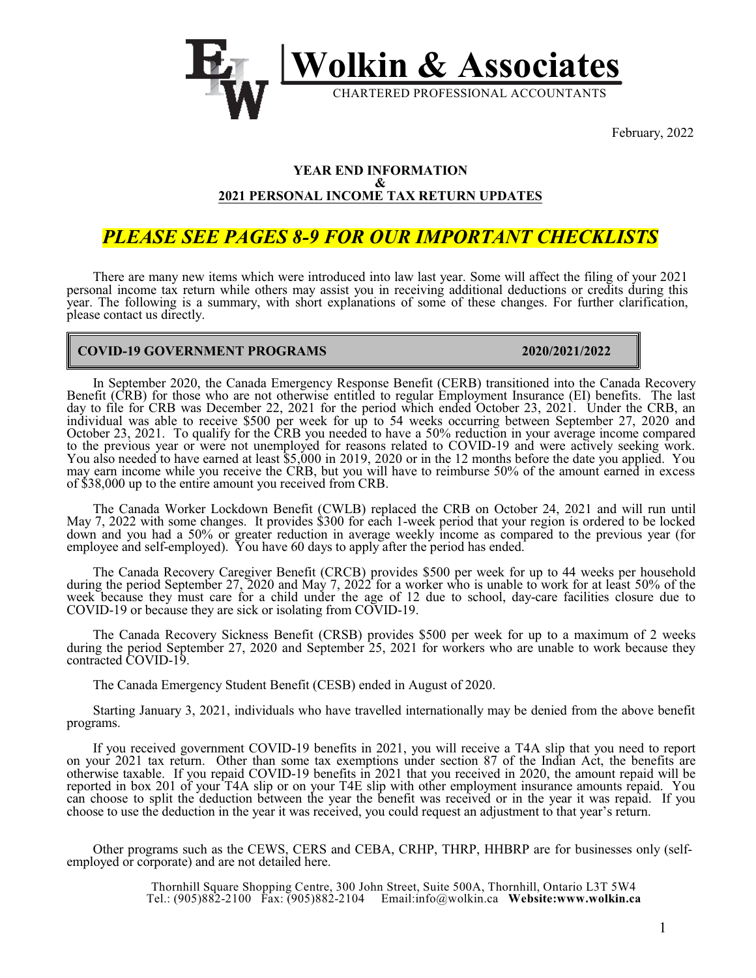

February, 2022

#### **YEAR END INFORMATION & 2021 PERSONAL INCOME TAX RETURN UPDATES**

# *PLEASE SEE PAGES 8-9 FOR OUR IMPORTANT CHECKLISTS*

There are many new items which were introduced into law last year. Some will affect the filing of your 2021 personal income tax return while others may assist you in receiving additional deductions or credits during this year. The following is a summary, with short explanations of some of these changes. For further clarification, please contact us directly.

## **COVID-19 GOVERNMENT PROGRAMS 2020/2021/2022**

In September 2020, the Canada Emergency Response Benefit (CERB) transitioned into the Canada Recovery Benefit (CRB) for those who are not otherwise entitled to regular Employment Insurance (EI) benefits. The last day to file for CRB was December 22, 2021 for the period which ended October 23, 2021. Under the CRB, an individual was able to receive \$500 per week for up to 54 weeks occurring between September 27, 2020 and October 23, 2021. To qualify for the CRB you needed to have a 50% reduction in your average income compared to the previous year or were not unemployed for reasons related to COVID-19 and were actively seeking work. You also needed to have earned at least \$5,000 in 2019, 2020 or in the 12 months before the date you applied. You may earn income while you receive the CRB, but you will have to reimburse 50% of the amount earned in excess of \$38,000 up to the entire amount you received from CRB.

The Canada Worker Lockdown Benefit (CWLB) replaced the CRB on October 24, 2021 and will run until May 7, 2022 with some changes. It provides \$300 for each 1-week period that your region is ordered to be locked down and you had a 50% or greater reduction in average weekly income as compared to the previous year (for employee and self-employed). You have 60 days to apply after the period has ended.

The Canada Recovery Caregiver Benefit (CRCB) provides \$500 per week for up to 44 weeks per household during the period September 27, 2020 and May 7, 2022 for a worker who is unable to work for at least 50% of the week because they must care for a child under the age of 12 due to school, day-care facilities closure due to COVID-19 or because they are sick or isolating from COVID-19.

The Canada Recovery Sickness Benefit (CRSB) provides \$500 per week for up to a maximum of 2 weeks during the period September 27, 2020 and September 25, 2021 for workers who are unable to work because they contracted COVID-19.

The Canada Emergency Student Benefit (CESB) ended in August of 2020.

Starting January 3, 2021, individuals who have travelled internationally may be denied from the above benefit programs.

If you received government COVID-19 benefits in 2021, you will receive a T4A slip that you need to report on your 2021 tax return. Other than some tax exemptions under section 87 of the Indian Act, the benefits are otherwise taxable. If you repaid COVID-19 benefits in 2021 that you received in 2020, the amount repaid will be reported in box 201 of your T4A slip or on your T4E slip with other employment insurance amounts repaid. You can choose to split the deduction between the year the benefit was received or in the year it was repaid. If you choose to use the deduction in the year it was received, you could request an adjustment to that year's return.

Other programs such as the CEWS, CERS and CEBA, CRHP, THRP, HHBRP are for businesses only (selfemployed or corporate) and are not detailed here.

> Thornhill Square Shopping Centre, 300 John Street, Suite 500A, Thornhill, Ontario L3T 5W4 Tel.: (905)882-2100 Fax: (905)882-2104 Email[:info@wolkin.ca](mailto:infor@wolkin.ca) **Website:www.wolkin.ca**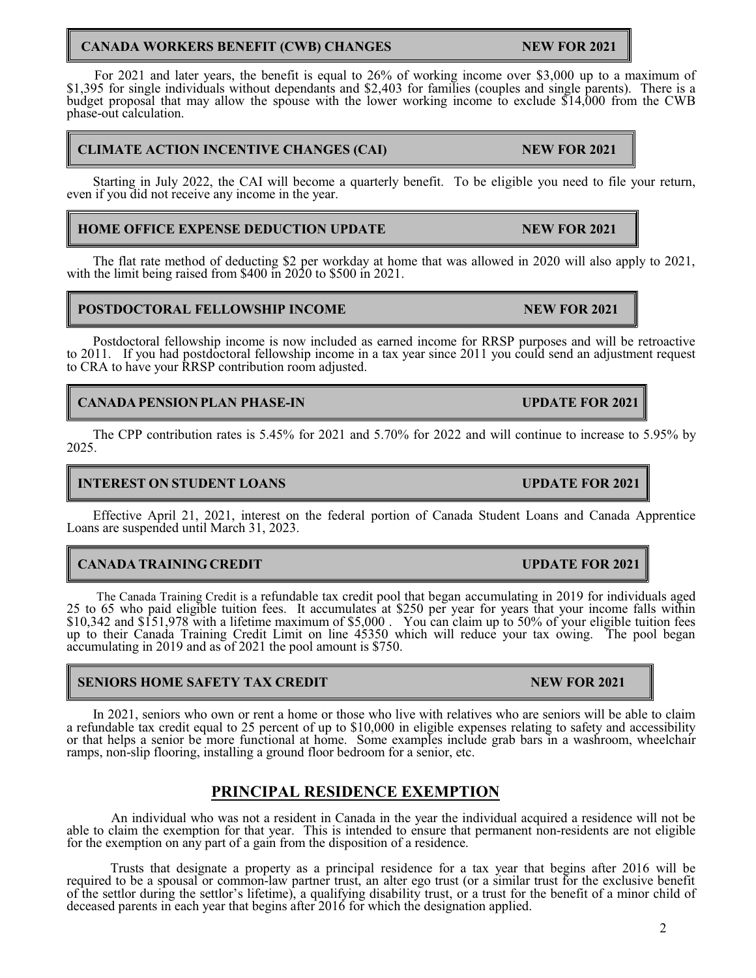# **CANADA WORKERS BENEFIT (CWB) CHANGES MESSES ARE NEW FOR 2021**

For 2021 and later years, the benefit is equal to 26% of working income over \$3,000 up to a maximum of \$1,395 for single individuals without dependants and \$2,403 for families (couples and single parents). There is a budget proposal that may allow the spouse with the lower working income to exclude \$14,000 from the CWB phase-out calculation.

# **CLIMATE ACTION INCENTIVE CHANGES (CAI) NEW FOR 2021**

Starting in July 2022, the CAI will become a quarterly benefit. To be eligible you need to file your return, even if you did not receive any income in the year.

# **HOME OFFICE EXPENSE DEDUCTION UPDATE NEW FOR 2021**

The flat rate method of deducting \$2 per workday at home that was allowed in 2020 will also apply to 2021, with the limit being raised from \$400 in 2020 to \$500 in 2021.

# **POSTDOCTORAL FELLOWSHIP INCOME NEW FOR 2021**

Postdoctoral fellowship income is now included as earned income for RRSP purposes and will be retroactive to 2011. If you had postdoctoral fellowship income in a tax year since 2011 you could send an adjustment request to CRA to have your RRSP contribution room adjusted.

# **CANADA PENSION PLAN PHASE-IN UPDATE FOR 2021**

The CPP contribution rates is 5.45% for 2021 and 5.70% for 2022 and will continue to increase to 5.95% by 2025.

# **INTEREST ON STUDENT LOANS UPDATE FOR 2021**

Effective April 21, 2021, interest on the federal portion of Canada Student Loans and Canada Apprentice Loans are suspended until March 31, 2023.

# **CANADA TRAINING CREDIT UPDATE FOR 2021**

The Canada Training Credit is a refundable tax credit pool that began accumulating in 2019 for individuals aged 25 to 65 who paid eligible tuition fees. It accumulates at \$250 per year for years that your income falls within \$10,342 and \$151,978 with a lifetime maximum of \$5,000 . You can claim up to 50% of your eligible tuition fees up to their Canada Training Credit Limit on line 45350 which will reduce your tax owing. The pool began accumulating in 2019 and as of 2021 the pool amount is \$750.

# **SENIORS HOME SAFETY TAX CREDIT NEW FOR 2021**

In 2021, seniors who own or rent a home or those who live with relatives who are seniors will be able to claim a refundable tax credit equal to 25 percent of up to \$10,000 in eligible expenses relating to safety and accessibility or that helps a senior be more functional at home. Some examples include grab bars in a washroom, wheelchair ramps, non-slip flooring, installing a ground floor bedroom for a senior, etc.

# **PRINCIPAL RESIDENCE EXEMPTION**

An individual who was not a resident in Canada in the year the individual acquired a residence will not be able to claim the exemption for that year. This is intended to ensure that permanent non-residents are not eligible for the exemption on any part of a gain from the disposition of a residence.

Trusts that designate a property as a principal residence for a tax year that begins after 2016 will be required to be a spousal or common-law partner trust, an alter ego trust (or a similar trust for the exclusive benefit of the settlor during the settlor's lifetime), a qualifying disability trust, or a trust for the benefit of a minor child of deceased parents in each year that begins after 2016 for which the designation applied.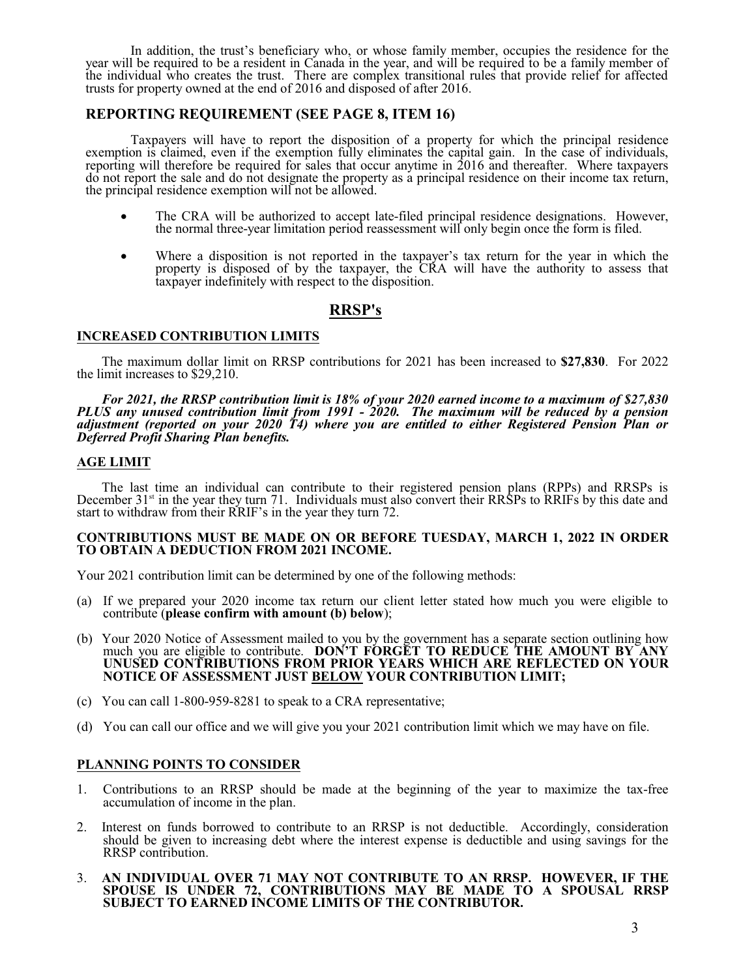In addition, the trust's beneficiary who, or whose family member, occupies the residence for the year will be required to be a resident in Canada in the year, and will be required to be a family member of the individual who creates the trust. There are complex transitional rules that provide relief for affected trusts for property owned at the end of 2016 and disposed of after 2016.

### **REPORTING REQUIREMENT (SEE PAGE 8, ITEM 16)**

Taxpayers will have to report the disposition of a property for which the principal residence exemption is claimed, even if the exemption fully eliminates the capital gain. In the case of individuals, reporting will therefore be required for sales that occur anytime in 2016 and thereafter. Where taxpayers do not report the sale and do not designate the property as a principal residence on their income tax return, the principal residence exemption will not be allowed.

> The CRA will be authorized to accept late-filed principal residence designations. However, the normal three-year limitation period reassessment will only begin once the form is filed.

> Where a disposition is not reported in the taxpayer's tax return for the year in which the property is disposed of by the taxpayer, the CRA will have the authority to assess that taxpayer indefinitely with respect to the disposition.

# **RRSP's**

### **INCREASED CONTRIBUTION LIMITS**

The maximum dollar limit on RRSP contributions for 2021 has been increased to **\$27,830**. For 2022 the limit increases to \$29,210.

*For 2021, the RRSP contribution limit is 18% of your 2020 earned income to a maximum of \$27,830 PLUS any unused contribution limit from 1991 - 2020. The maximum will be reduced by a pension adjustment (reported on your 2020 T4) where you are entitled to either Registered Pension Plan or Deferred Profit Sharing Plan benefits.*

### **AGE LIMIT**

The last time an individual can contribute to their registered pension plans (RPPs) and RRSPs is December 31<sup>st</sup> in the year they turn 71. Individuals must also convert their RRSPs to RRIFs by this date and start to withdraw from their RRIF's in the year they turn 72.

#### **CONTRIBUTIONS MUST BE MADE ON OR BEFORE TUESDAY, MARCH 1, 2022 IN ORDER TO OBTAIN A DEDUCTION FROM 2021 INCOME.**

Your 2021 contribution limit can be determined by one of the following methods:

- (a) If we prepared your 2020 income tax return our client letter stated how much you were eligible to contribute (**please confirm with amount (b) below**);
- (b) Your 2020 Notice of Assessment mailed to you by the government has a separate section outlining how much you are eligible to contribute. **DON'T FORGET TO REDUCE THE AMOUNT BY ANY UNUSED CONTRIBUTIONS FROM PRIOR YEARS WHICH ARE REFLECTED ON YOUR NOTICE OF ASSESSMENT JUST BELOW YOUR CONTRIBUTION LIMIT;**
- (c) You can call 1-800-959-8281 to speak to a CRA representative;
- (d) You can call our office and we will give you your 2021 contribution limit which we may have on file.

### **PLANNING POINTS TO CONSIDER**

- 1. Contributions to an RRSP should be made at the beginning of the year to maximize the tax-free accumulation of income in the plan.
- 2. Interest on funds borrowed to contribute to an RRSP is not deductible. Accordingly, consideration should be given to increasing debt where the interest expense is deductible and using savings for the RRSP contribution.
- 3. **AN INDIVIDUAL OVER 71 MAY NOT CONTRIBUTE TO AN RRSP. HOWEVER, IF THE SPOUSE IS UNDER 72, CONTRIBUTIONS MAY BE MADE TO A SPOUSAL RRSP SUBJECT TO EARNED INCOME LIMITS OF THE CONTRIBUTOR.**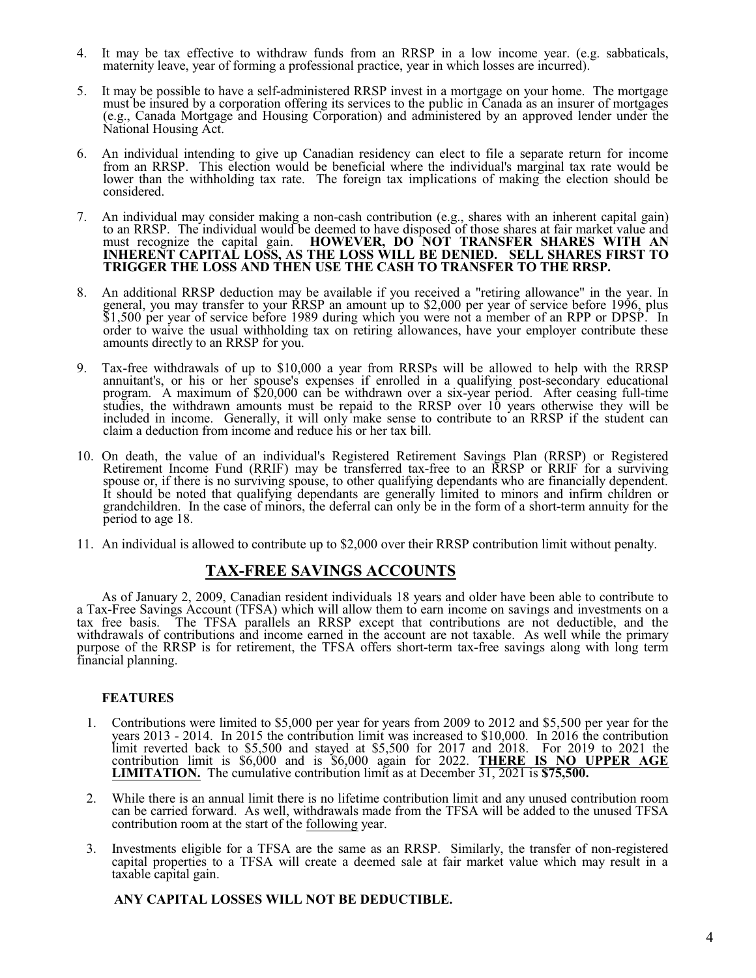- 4. It may be tax effective to withdraw funds from an RRSP in a low income year. (e.g. sabbaticals, maternity leave, year of forming a professional practice, year in which losses are incurred).
- 5. It may be possible to have a self-administered RRSP invest in a mortgage on your home. The mortgage must be insured by a corporation offering its services to the public in Canada as an insurer of mortgages (e.g., Canada Mortgage and Housing Corporation) and administered by an approved lender under the National Housing Act.
- 6. An individual intending to give up Canadian residency can elect to file a separate return for income from an RRSP. This election would be beneficial where the individual's marginal tax rate would be lower than the withholding tax rate. The foreign tax implications of making the election should be considered.
- 7. An individual may consider making a non-cash contribution (e.g., shares with an inherent capital gain) to an RRSP. The individual would be deemed to have disposed of those shares at fair market value and must recognize the capital gain. **HOWEVER, DO NOT TRANSFER SHARES WITH AN INHERENT CAPITAL LOSS, AS THE LOSS WILL BE DENIED. SELL SHARES FIRST TO TRIGGER THE LOSS AND THEN USE THE CASH TO TRANSFER TO THE RRSP.**
- 8. An additional RRSP deduction may be available if you received a "retiring allowance" in the year. In general, you may transfer to your RRSP an amount up to \$2,000 per year of service before 1996, plus \$1,500 per year of service before 1989 during which you were not a member of an RPP or DPSP. In order to waive the usual withholding tax on retiring allowances, have your employer contribute these amounts directly to an RRSP for you.
- 9. Tax-free withdrawals of up to \$10,000 a year from RRSPs will be allowed to help with the RRSP annuitant's, or his or her spouse's expenses if enrolled in a qualifying post-secondary educational program. A maximum of \$20,000 can be withdrawn over a six-year period. After ceasing full-time studies, the withdrawn amounts must be repaid to the RRSP over 10 years otherwise they will be included in income. Generally, it will only make sense to contribute to an RRSP if the student can claim a deduction from income and reduce his or her tax bill.
- 10. On death, the value of an individual's Registered Retirement Savings Plan (RRSP) or Registered Retirement Income Fund (RRIF) may be transferred tax-free to an RRSP or RRIF for a surviving spouse or, if there is no surviving spouse, to other qualifying dependants who are financially dependent. It should be noted that qualifying dependants are generally limited to minors and infirm children or grandchildren. In the case of minors, the deferral can only be in the form of a short-term annuity for the period to age 18.
- 11. An individual is allowed to contribute up to \$2,000 over their RRSP contribution limit without penalty.

# **TAX-FREE SAVINGS ACCOUNTS**

As of January 2, 2009, Canadian resident individuals 18 years and older have been able to contribute to a Tax-Free Savings Account (TFSA) which will allow them to earn income on savings and investments on a tax free basis. The TFSA parallels an RRSP except that contributions are not deductible, and the withdrawals of contributions and income earned in the account are not taxable. As well while the primary purpose of the RRSP is for retirement, the TFSA offers short-term tax-free savings along with long term financial planning.

### **FEATURES**

- 1. Contributions were limited to \$5,000 per year for years from 2009 to 2012 and \$5,500 per year for the years 2013 - 2014. In 2015 the contribution limit was increased to \$10,000. In 2016 the contribution limit reverted back to \$5,500 and stayed at \$5,500 for 2017 and 2018. For 2019 to 2021 the contribution limit is \$6,000 and is \$6,000 again for 2022. **THERE IS NO UPPER AGE LIMITATION.** The cumulative contribution limit as at December 31, 2021 is **\$75,500.**
- 2. While there is an annual limit there is no lifetime contribution limit and any unused contribution room can be carried forward. As well, withdrawals made from the TFSA will be added to the unused TFSA contribution room at the start of the following year.
- 3. Investments eligible for a TFSA are the same as an RRSP. Similarly, the transfer of non-registered capital properties to a TFSA will create a deemed sale at fair market value which may result in a taxable capital gain.

### **ANY CAPITAL LOSSES WILL NOT BE DEDUCTIBLE.**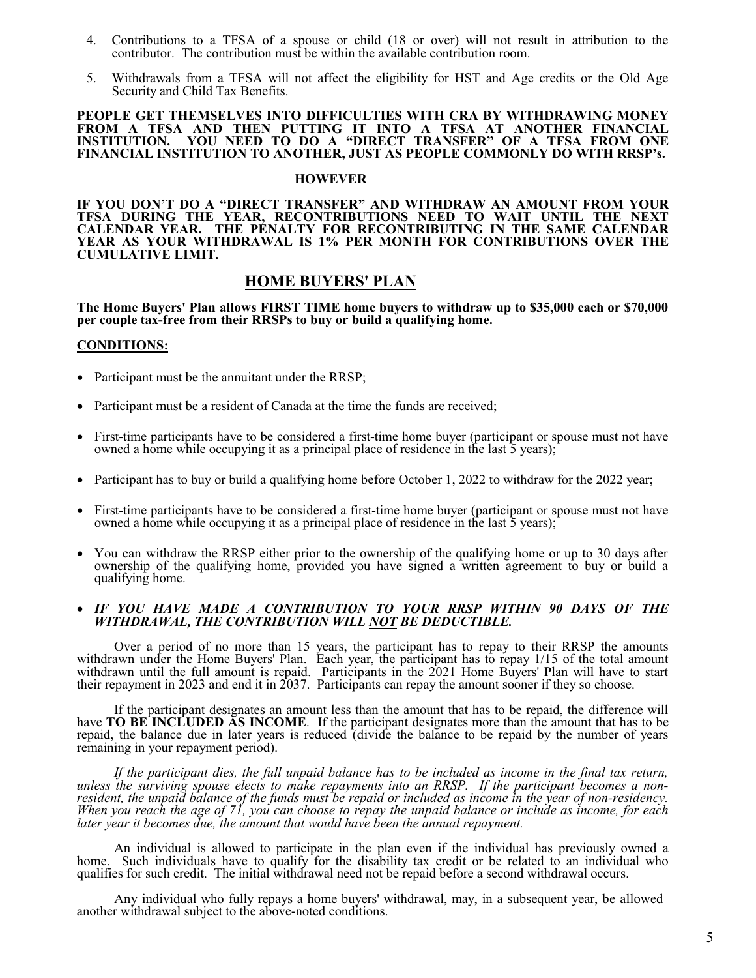- 4. Contributions to a TFSA of a spouse or child (18 or over) will not result in attribution to the contributor. The contribution must be within the available contribution room.
- 5. Withdrawals from a TFSA will not affect the eligibility for HST and Age credits or the Old Age Security and Child Tax Benefits.

#### **PEOPLE GET THEMSELVES INTO DIFFICULTIES WITH CRA BY WITHDRAWING MONEY FROM A TFSA AND THEN PUTTING IT INTO A TFSA AT ANOTHER FINANCIAL INSTITUTION. YOU NEED TO DO A "DIRECT TRANSFER" OF A TFSA FROM ONE FINANCIAL INSTITUTION TO ANOTHER, JUST AS PEOPLE COMMONLY DO WITH RRSP's.**

#### **HOWEVER**

**IF YOU DON'T DO A "DIRECT TRANSFER" AND WITHDRAW AN AMOUNT FROM YOUR TFSA DURING THE YEAR, RECONTRIBUTIONS NEED TO WAIT UNTIL THE NEXT CALENDAR YEAR. THE PENALTY FOR RECONTRIBUTING IN THE SAME CALENDAR YEAR AS YOUR WITHDRAWAL IS 1% PER MONTH FOR CONTRIBUTIONS OVER THE CUMULATIVE LIMIT.**

### **HOME BUYERS' PLAN**

**The Home Buyers' Plan allows FIRST TIME home buyers to withdraw up to \$35,000 each or \$70,000 per couple tax-free from their RRSPs to buy or build a qualifying home.**

#### **CONDITIONS:**

Participant must be the annuitant under the RRSP;

Participant must be a resident of Canada at the time the funds are received;

First-time participants have to be considered a first-time home buyer (participant or spouse must not have owned a home while occupying it as a principal place of residence in the last 5 years);

Participant has to buy or build a qualifying home before October 1, 2022 to withdraw for the 2022 year;

First-time participants have to be considered a first-time home buyer (participant or spouse must not have owned a home while occupying it as a principal place of residence in the last  $5$  years);

You can withdraw the RRSP either prior to the ownership of the qualifying home or up to 30 days after ownership of the qualifying home, provided you have signed a written agreement to buy or build a qualifying home.

#### *IF YOU HAVE MADE A CONTRIBUTION TO YOUR RRSP WITHIN 90 DAYS OF THE WITHDRAWAL, THE CONTRIBUTION WILL NOT BE DEDUCTIBLE.*

Over a period of no more than 15 years, the participant has to repay to their RRSP the amounts withdrawn under the Home Buyers' Plan. Each year, the participant has to repay 1/15 of the total amount withdrawn until the full amount is repaid. Participants in the 2021 Home Buyers' Plan will have to start their repayment in 2023 and end it in 2037. Participants can repay the amount sooner if they so choose.

If the participant designates an amount less than the amount that has to be repaid, the difference will have **TO BE INCLUDED AS INCOME**. If the participant designates more than the amount that has to be repaid, the balance due in later years is reduced (divide the balance to be repaid by the number of years remaining in your repayment period).

*If the participant dies, the full unpaid balance has to be included as income in the final tax return, unless the surviving spouse elects to make repayments into an RRSP. If the participant becomes a nonresident, the unpaid balance of the funds must be repaid or included as income in the year of non-residency. When you reach the age of 71, you can choose to repay the unpaid balance or include as income, for each later year it becomes due, the amount that would have been the annual repayment.*

An individual is allowed to participate in the plan even if the individual has previously owned a home. Such individuals have to qualify for the disability tax credit or be related to an individual who qualifies for such credit. The initial withdrawal need not be repaid before a second withdrawal occurs.

Any individual who fully repays a home buyers' withdrawal, may, in a subsequent year, be allowed another withdrawal subject to the above-noted conditions.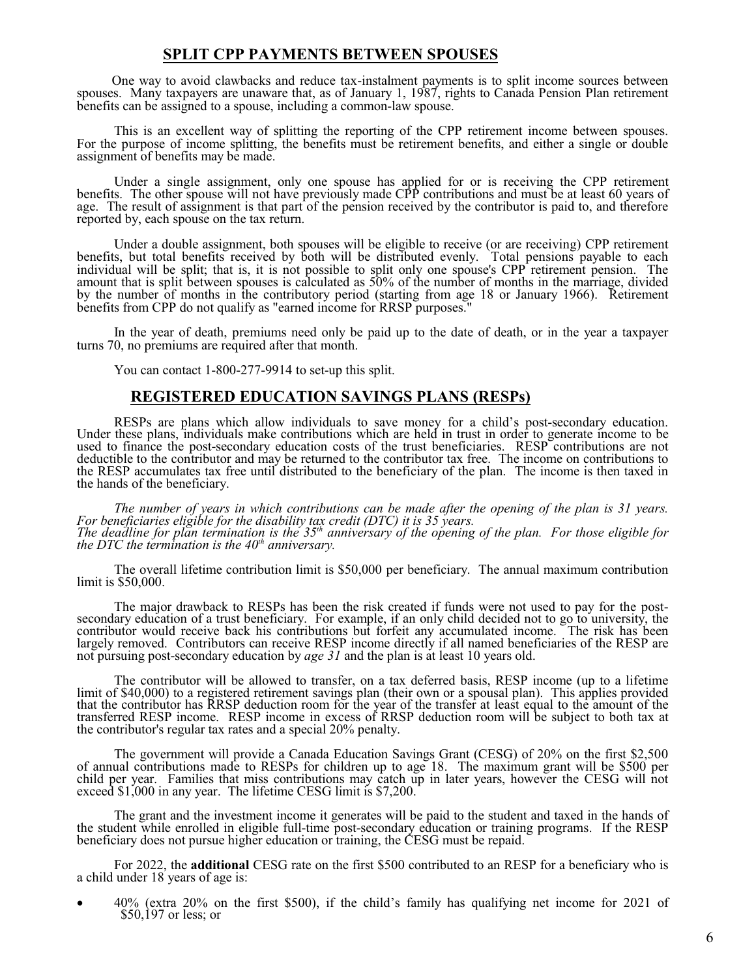## **SPLIT CPP PAYMENTS BETWEEN SPOUSES**

One way to avoid clawbacks and reduce tax-instalment payments is to split income sources between spouses. Many taxpayers are unaware that, as of January 1, 1987, rights to Canada Pension Plan retirement benefits can be assigned to a spouse, including a common-law spouse.

This is an excellent way of splitting the reporting of the CPP retirement income between spouses. For the purpose of income splitting, the benefits must be retirement benefits, and either a single or double assignment of benefits may be made.

Under a single assignment, only one spouse has applied for or is receiving the CPP retirement benefits. The other spouse will not have previously made CPP contributions and must be at least 60 years of age. The result of assignment is that part of the pension received by the contributor is paid to, and therefore reported by, each spouse on the tax return.

Under a double assignment, both spouses will be eligible to receive (or are receiving) CPP retirement benefits, but total benefits received by both will be distributed evenly. Total pensions payable to each individual will be split; that is, it is not possible to split only one spouse's CPP retirement pension. The amount that is split between spouses is calculated as 50% of the number of months in the marriage, divided by the number of months in the contributory period (starting from age 18 or January 1966). Retirement benefits from CPP do not qualify as "earned income for RRSP purposes."

In the year of death, premiums need only be paid up to the date of death, or in the year a taxpayer turns 70, no premiums are required after that month.

You can contact 1-800-277-9914 to set-up this split.

### **REGISTERED EDUCATION SAVINGS PLANS (RESPs)**

RESPs are plans which allow individuals to save money for a child's post-secondary education. Under these plans, individuals make contributions which are held in trust in order to generate income to be used to finance the post-secondary education costs of the trust beneficiaries. RESP contributions are not deductible to the contributor and may be returned to the contributor tax free. The income on contributions to the RESP accumulates tax free until distributed to the beneficiary of the plan. The income is then taxed in the hands of the beneficiary.

*The number of years in which contributions can be made after the opening of the plan is 31 years. For beneficiaries eligible for the disability tax credit (DTC) it is 35 years. The deadline for plan termination is the 35th anniversary of the opening of the plan. For those eligible for the DTC the termination is the 40th anniversary.*

The overall lifetime contribution limit is \$50,000 per beneficiary. The annual maximum contribution limit is \$50,000.

The major drawback to RESPs has been the risk created if funds were not used to pay for the postsecondary education of a trust beneficiary. For example, if an only child decided not to go to university, the contributor would receive back his contributions but forfeit any accumulated income. The risk has been largely removed. Contributors can receive RESP income directly if all named beneficiaries of the RESP are not pursuing post-secondary education by *age 31* and the plan is at least 10 years old.

The contributor will be allowed to transfer, on a tax deferred basis, RESP income (up to a lifetime limit of \$40,000) to a registered retirement savings plan (their own or a spousal plan). This applies provided that the contributor has RRSP deduction room for the year of the transfer at least equal to the amount of the transferred RESP income. RESP income in excess of RRSP deduction room will be subject to both tax at the contributor's regular tax rates and a special 20% penalty.

The government will provide a Canada Education Savings Grant (CESG) of 20% on the first \$2,500 of annual contributions made to RESPs for children up to age 18. The maximum grant will be \$500 per child per year. Families that miss contributions may catch up in later years, however the CESG will not exceed \$1,000 in any year. The lifetime CESG limit is \$7,200.

The grant and the investment income it generates will be paid to the student and taxed in the hands of the student while enrolled in eligible full-time post-secondary education or training programs. If the RESP beneficiary does not pursue higher education or training, the CESG must be repaid.

For 2022, the **additional** CESG rate on the first \$500 contributed to an RESP for a beneficiary who is a child under 18 years of age is:

40% (extra 20% on the first \$500), if the child's family has qualifying net income for 2021 of  $$50,197$  or less; or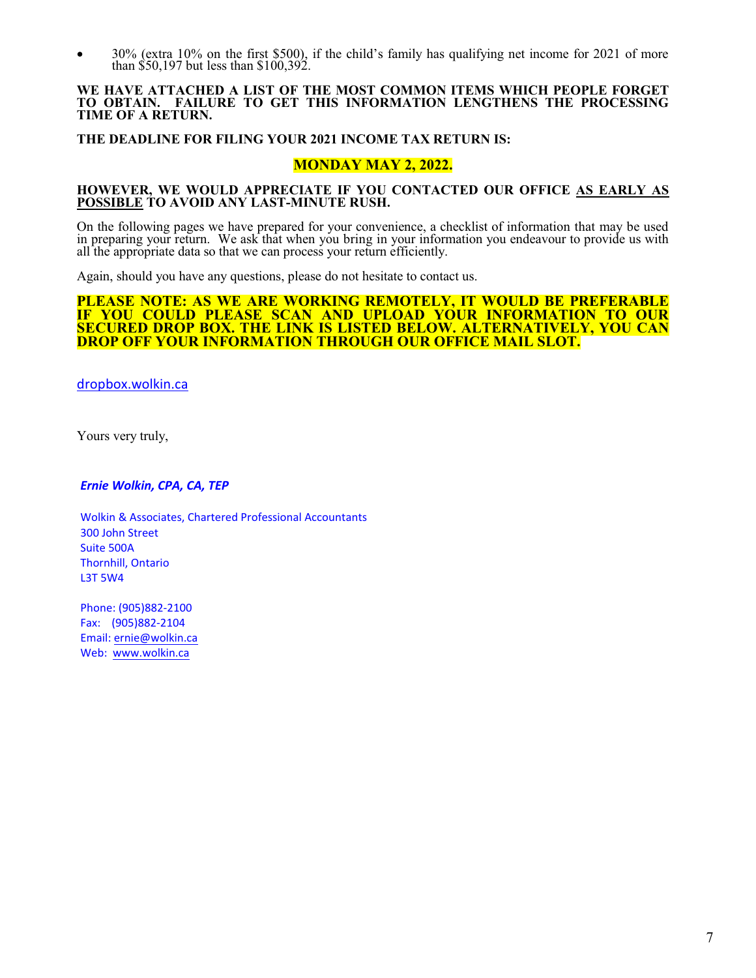30% (extra 10% on the first \$500), if the child's family has qualifying net income for 2021 of more than \$50,197 but less than \$100,392.

#### **WE HAVE ATTACHED A LIST OF THE MOST COMMON ITEMS WHICH PEOPLE FORGET TO OBTAIN. FAILURE TO GET THIS INFORMATION LENGTHENS THE PROCESSING TIME OF A RETURN.**

#### **THE DEADLINE FOR FILING YOUR 2021 INCOME TAX RETURN IS:**

### **MONDAY MAY 2, 2022.**

### **HOWEVER, WE WOULD APPRECIATE IF YOU CONTACTED OUR OFFICE AS EARLY AS POSSIBLE TO AVOID ANY LAST-MINUTE RUSH.**

On the following pages we have prepared for your convenience, a checklist of information that may be used in preparing your return. We ask that when you bring in your information you endeavour to provide us with all the appropriate data so that we can process your return efficiently.

Again, should you have any questions, please do not hesitate to contact us.

#### **PLEASE NOTE: AS WE ARE WORKING REMOTELY, IT WOULD BE PREFERABLE IF YOU COULD PLEASE SCAN AND UPLOAD YOUR INFORMATION TO OUR SECURED DROP BOX. THE LINK IS LISTED BELOW. ALTERNATIVELY, YOU CAN DROP OFF YOUR INFORMATION THROUGH OUR OFFICE MAIL SLOT.**

[dropbox.wolkin.ca](https://sfms.dscloud.biz:5001/sharing/o6mntZcr5)

Yours very truly,

#### *Ernie Wolkin, CPA, CA, TEP*

Wolkin & Associates, Chartered Professional Accountants 300 John Street Suite 500A Thornhill, Ontario L3T 5W4

Phone: (905)882-2100 Fax: (905)882-2104 Email: [ernie@wolkin.ca](mailto:ernie@wolkin.ca) Web: [www.wolkin.ca](http://www.wolkin.ca/)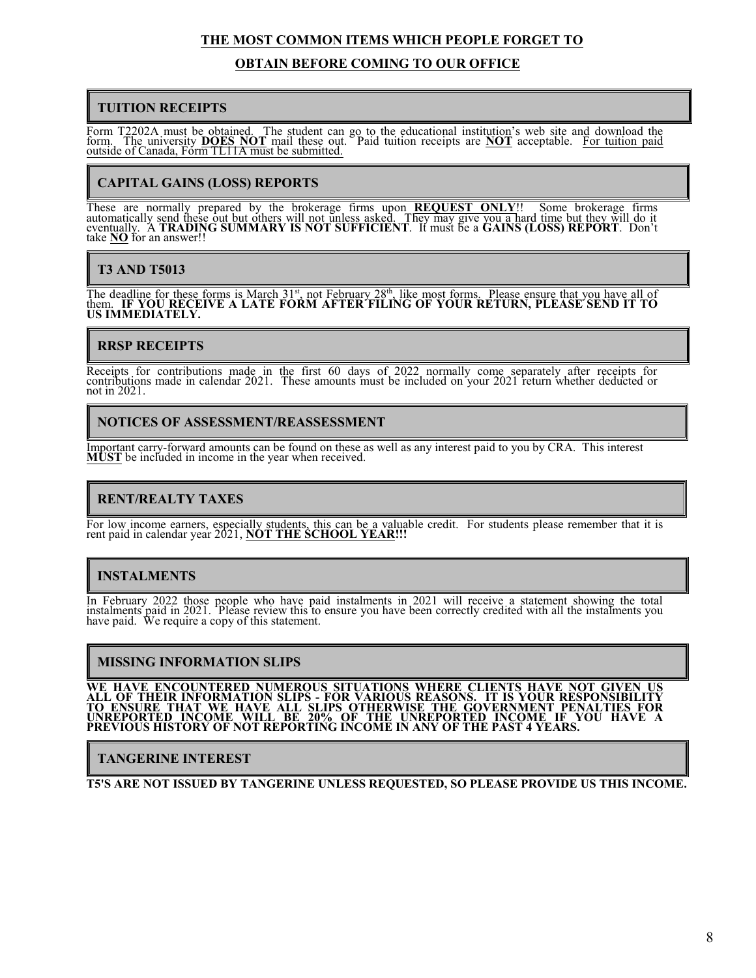## **THE MOST COMMON ITEMS WHICH PEOPLE FORGET TO**

### **OBTAIN BEFORE COMING TO OUR OFFICE**

### **TUITION RECEIPTS**

Form T2202A must be obtained. The student can go to the educational institution's web site and download the form. The university **DOES NOT** mail these out. Paid tuition receipts are **NOT** acceptable. For tuition paid outside of Canada, Form TL11A must be submitted.

# **CAPITAL GAINS (LOSS) REPORTS**

These are normally prepared by the brokerage firms upon **REQUEST ONLY**!! Some brokerage firms automatically send these out but others will not unless asked. They may give you a hard time but they will do it eventually. A **TRADING SUMMARY IS NOT SUFFICIENT**. It must be a **GAINS (LOSS) REPORT**. Don't take **NO** for an answer!!

# **T3 AND T5013**

The deadline for these forms is March  $31<sup>st</sup>$ , not February  $28<sup>th</sup>$ , like most forms. Please ensure that you have all of them. **IF YOU RECEIVE A LATE FORM AFTER FILING OF YOUR RETURN, PLEASE SEND IT TO US IMMEDIATELY.**

# **RRSP RECEIPTS**

Receipts for contributions made in the first 60 days of 2022 normally come separately after receipts for contributions made in calendar 2021. These amounts must be included on your 2021 return whether deducted or not in 2021.

### **NOTICES OF ASSESSMENT/REASSESSMENT**

Important carry-forward amounts can be found on these as well as any interest paid to you by CRA. This interest **MUST** be included in income in the year when received.

# **RENT/REALTY TAXES**

For low income earners, especially students, this can be a valuable credit. For students please remember that it is rent paid in calendar year 2021, **NOT THE SCHOOL YEAR!!!**

# **INSTALMENTS**

In February 2022 those people who have paid instalments in 2021 will receive a statement showing the total instalments paid in 2021. Please review this to ensure you have been correctly credited with all the instalments you have paid. We require a copy of this statement.

## **MISSING INFORMATION SLIPS**

**WE HAVE ENCOUNTERED NUMEROUS SITUATIONS WHERE CLIENTS HAVE NOT GIVEN US ALL OF THEIR INFORMATION SLIPS - FOR VARIOUS REASONS. IT IS YOUR RESPONSIBILITY TO ENSURE THAT WE HAVE ALL SLIPS OTHERWISE THE GOVERNMENT PENALTIES FOR UNREPORTED INCOME WILL BE 20% OF THE UNREPORTED INCOME IF YOU HAVE A PREVIOUS HISTORY OF NOT REPORTING INCOME IN ANY OF THE PAST 4 YEARS.**

**TANGERINE INTEREST**

**T5'S ARE NOT ISSUED BY TANGERINE UNLESS REQUESTED, SO PLEASE PROVIDE US THIS INCOME.**